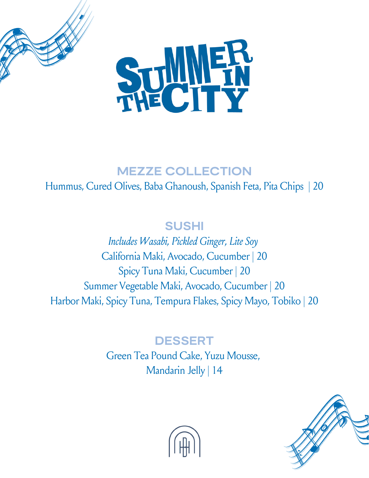



## **MEZZE COLLECTION**

### Hummus, Cured Olives, Baba Ghanoush, Spanish Feta, Pita Chips | 20

## **SUSHI**

 *Includes Wasabi, Pickled Ginger, Lite Soy* California Maki, Avocado, Cucumber | 20 Spicy Tuna Maki, Cucumber | 20 Summer Vegetable Maki, Avocado, Cucumber | 20 Harbor Maki, Spicy Tuna, Tempura Flakes, Spicy Mayo, Tobiko | 20

## **DESSERT**

 Green Tea Pound Cake, Yuzu Mousse, Mandarin Jelly | 14